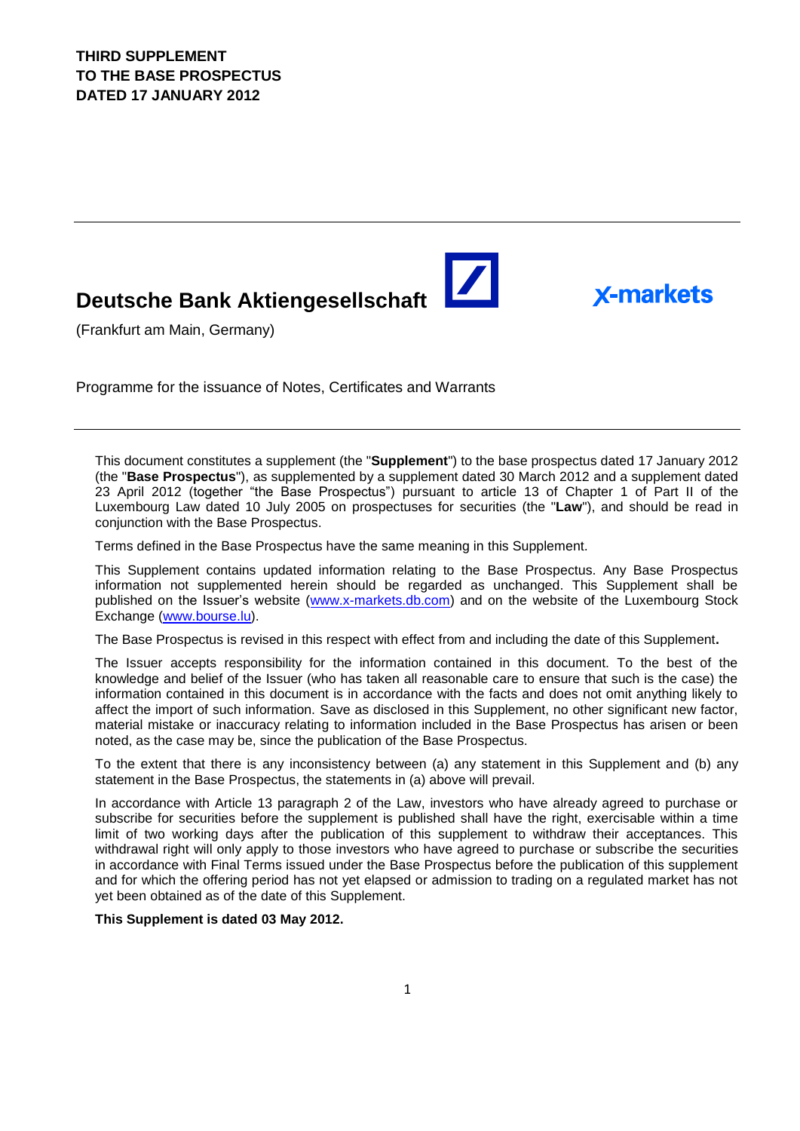# **Deutsche Bank Aktiengesellschaft**

(Frankfurt am Main, Germany)

Programme for the issuance of Notes, Certificates and Warrants

This document constitutes a supplement (the "**Supplement**") to the base prospectus dated 17 January 2012 (the "**Base Prospectus**"), as supplemented by a supplement dated 30 March 2012 and a supplement dated 23 April 2012 (together "the Base Prospectus") pursuant to article 13 of Chapter 1 of Part II of the Luxembourg Law dated 10 July 2005 on prospectuses for securities (the "**Law**"), and should be read in conjunction with the Base Prospectus.

 $\blacktriangleright$ 

**X-markets** 

Terms defined in the Base Prospectus have the same meaning in this Supplement.

This Supplement contains updated information relating to the Base Prospectus. Any Base Prospectus information not supplemented herein should be regarded as unchanged. This Supplement shall be published on the Issuer's website [\(www.x-markets.db.com\)](http://www.x-markets.db.com/) and on the website of the Luxembourg Stock Exchange (www.bourse.lu).

The Base Prospectus is revised in this respect with effect from and including the date of this Supplement**.**

The Issuer accepts responsibility for the information contained in this document. To the best of the knowledge and belief of the Issuer (who has taken all reasonable care to ensure that such is the case) the information contained in this document is in accordance with the facts and does not omit anything likely to affect the import of such information. Save as disclosed in this Supplement, no other significant new factor, material mistake or inaccuracy relating to information included in the Base Prospectus has arisen or been noted, as the case may be, since the publication of the Base Prospectus.

To the extent that there is any inconsistency between (a) any statement in this Supplement and (b) any statement in the Base Prospectus, the statements in (a) above will prevail.

In accordance with Article 13 paragraph 2 of the Law, investors who have already agreed to purchase or subscribe for securities before the supplement is published shall have the right, exercisable within a time limit of two working days after the publication of this supplement to withdraw their acceptances. This withdrawal right will only apply to those investors who have agreed to purchase or subscribe the securities in accordance with Final Terms issued under the Base Prospectus before the publication of this supplement and for which the offering period has not yet elapsed or admission to trading on a regulated market has not yet been obtained as of the date of this Supplement.

### **This Supplement is dated 03 May 2012.**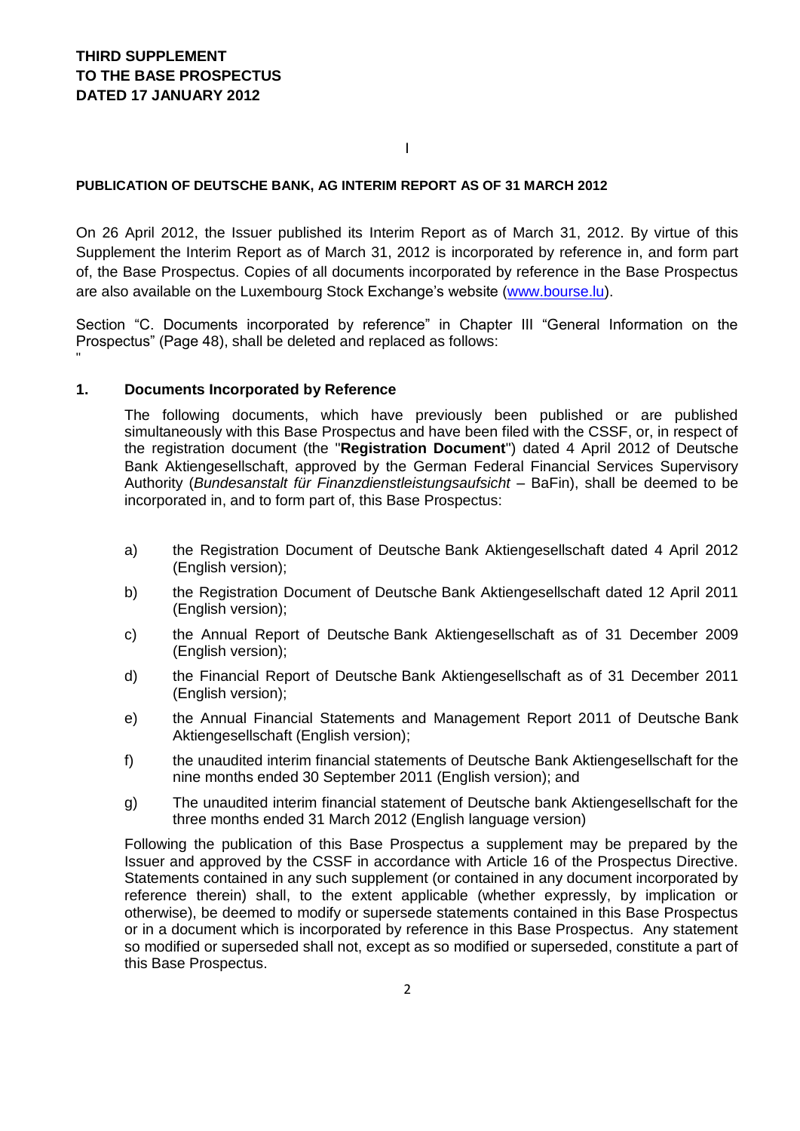### I

### **PUBLICATION OF DEUTSCHE BANK, AG INTERIM REPORT AS OF 31 MARCH 2012**

On 26 April 2012, the Issuer published its Interim Report as of March 31, 2012. By virtue of this Supplement the Interim Report as of March 31, 2012 is incorporated by reference in, and form part of, the Base Prospectus. Copies of all documents incorporated by reference in the Base Prospectus are also available on the Luxembourg Stock Exchange's website [\(www.bourse.lu\)](http://www.bourse.lu/).

Section "C. Documents incorporated by reference" in Chapter III "General Information on the Prospectus" (Page 48), shall be deleted and replaced as follows: "

### **1. Documents Incorporated by Reference**

The following documents, which have previously been published or are published simultaneously with this Base Prospectus and have been filed with the CSSF, or, in respect of the registration document (the "**Registration Document**") dated 4 April 2012 of Deutsche Bank Aktiengesellschaft, approved by the German Federal Financial Services Supervisory Authority (*Bundesanstalt für Finanzdienstleistungsaufsicht –* BaFin), shall be deemed to be incorporated in, and to form part of, this Base Prospectus:

- a) the Registration Document of Deutsche Bank Aktiengesellschaft dated 4 April 2012 (English version);
- b) the Registration Document of Deutsche Bank Aktiengesellschaft dated 12 April 2011 (English version);
- c) the Annual Report of Deutsche Bank Aktiengesellschaft as of 31 December 2009 (English version);
- d) the Financial Report of Deutsche Bank Aktiengesellschaft as of 31 December 2011 (English version);
- e) the Annual Financial Statements and Management Report 2011 of Deutsche Bank Aktiengesellschaft (English version);
- f) the unaudited interim financial statements of Deutsche Bank Aktiengesellschaft for the nine months ended 30 September 2011 (English version); and
- g) The unaudited interim financial statement of Deutsche bank Aktiengesellschaft for the three months ended 31 March 2012 (English language version)

Following the publication of this Base Prospectus a supplement may be prepared by the Issuer and approved by the CSSF in accordance with Article 16 of the Prospectus Directive. Statements contained in any such supplement (or contained in any document incorporated by reference therein) shall, to the extent applicable (whether expressly, by implication or otherwise), be deemed to modify or supersede statements contained in this Base Prospectus or in a document which is incorporated by reference in this Base Prospectus. Any statement so modified or superseded shall not, except as so modified or superseded, constitute a part of this Base Prospectus.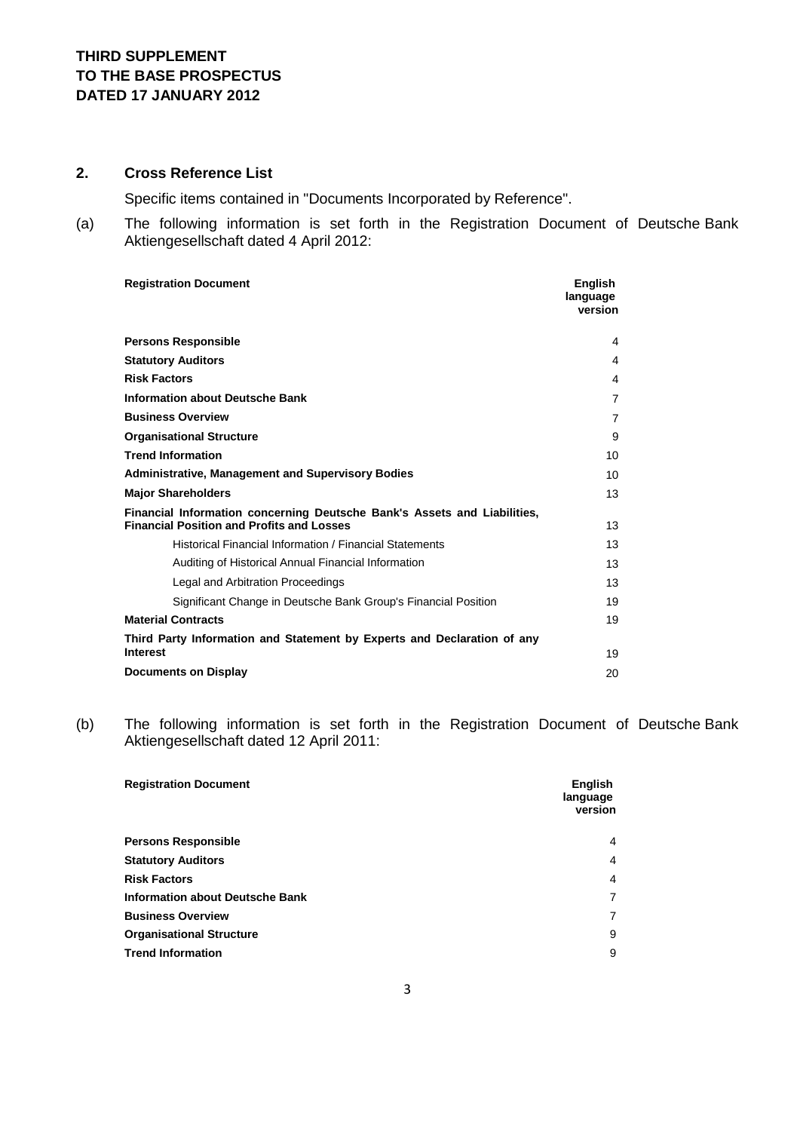# **2. Cross Reference List**

Specific items contained in "Documents Incorporated by Reference".

(a) The following information is set forth in the Registration Document of Deutsche Bank Aktiengesellschaft dated 4 April 2012:

| <b>Registration Document</b>                                                                                                 | <b>Enalish</b><br>language<br>version |
|------------------------------------------------------------------------------------------------------------------------------|---------------------------------------|
| <b>Persons Responsible</b>                                                                                                   | 4                                     |
| <b>Statutory Auditors</b>                                                                                                    | $\overline{4}$                        |
| <b>Risk Factors</b>                                                                                                          | 4                                     |
| <b>Information about Deutsche Bank</b>                                                                                       | $\overline{7}$                        |
| <b>Business Overview</b>                                                                                                     | $\overline{7}$                        |
| <b>Organisational Structure</b>                                                                                              | 9                                     |
| <b>Trend Information</b>                                                                                                     | 10                                    |
| <b>Administrative, Management and Supervisory Bodies</b>                                                                     | 10                                    |
| <b>Major Shareholders</b>                                                                                                    | 13                                    |
| Financial Information concerning Deutsche Bank's Assets and Liabilities,<br><b>Financial Position and Profits and Losses</b> | 13                                    |
| Historical Financial Information / Financial Statements                                                                      | 13                                    |
| Auditing of Historical Annual Financial Information                                                                          | 13                                    |
| Legal and Arbitration Proceedings                                                                                            | 13                                    |
| Significant Change in Deutsche Bank Group's Financial Position                                                               | 19                                    |
| <b>Material Contracts</b>                                                                                                    | 19                                    |
| Third Party Information and Statement by Experts and Declaration of any<br><b>Interest</b>                                   |                                       |
|                                                                                                                              | 19                                    |
| <b>Documents on Display</b>                                                                                                  | 20                                    |

(b) The following information is set forth in the Registration Document of Deutsche Bank Aktiengesellschaft dated 12 April 2011:

| English<br>language<br>version |
|--------------------------------|
| $\overline{4}$                 |
| $\overline{4}$                 |
| $\overline{4}$                 |
| 7                              |
| 7                              |
| 9                              |
| 9                              |
|                                |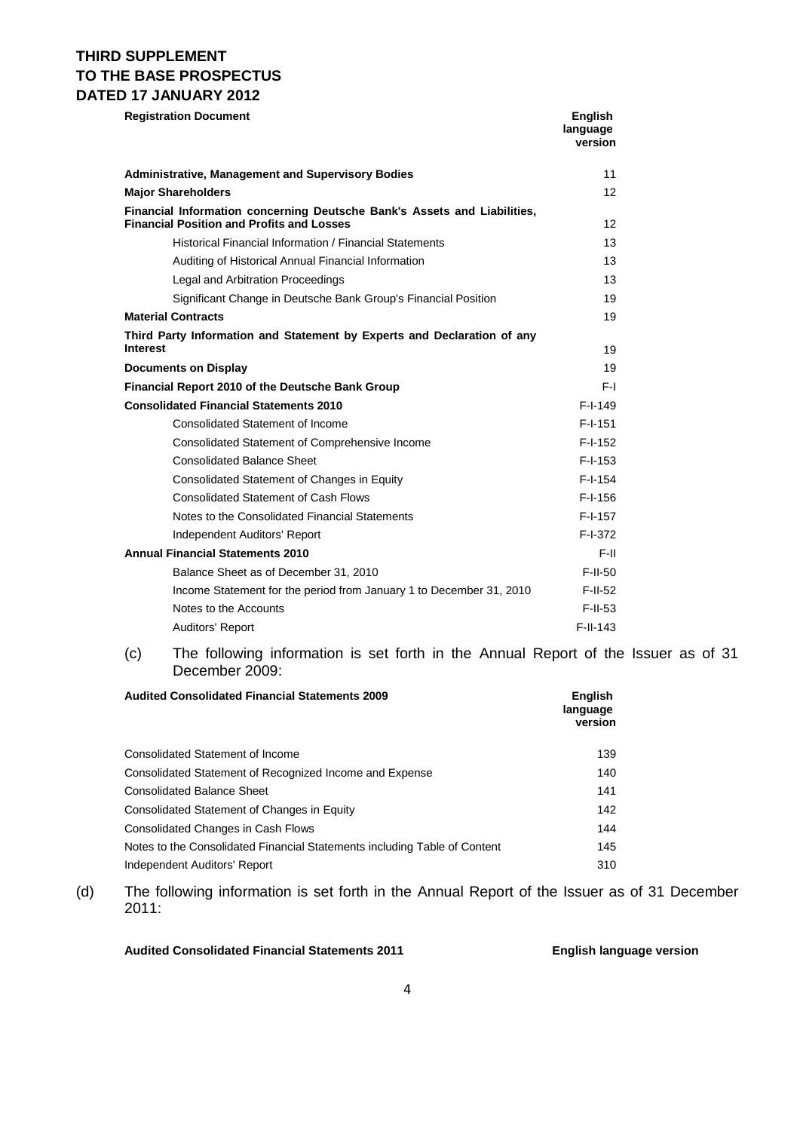# **THIRD SUPPLEMENT TO THE BASE PROSPECTUS DATED 17 JANUARY 2012**

| <b>Registration Document</b>                                                                                                 | English<br>language<br>version |
|------------------------------------------------------------------------------------------------------------------------------|--------------------------------|
| <b>Administrative, Management and Supervisory Bodies</b>                                                                     | 11                             |
| <b>Major Shareholders</b>                                                                                                    | 12 <sup>2</sup>                |
| Financial Information concerning Deutsche Bank's Assets and Liabilities,<br><b>Financial Position and Profits and Losses</b> | 12                             |
| Historical Financial Information / Financial Statements                                                                      | 13                             |
| Auditing of Historical Annual Financial Information                                                                          | 13                             |
| Legal and Arbitration Proceedings                                                                                            | 13                             |
| Significant Change in Deutsche Bank Group's Financial Position                                                               | 19                             |
| <b>Material Contracts</b>                                                                                                    | 19                             |
| Third Party Information and Statement by Experts and Declaration of any<br><b>Interest</b>                                   | 19                             |
| <b>Documents on Display</b>                                                                                                  | 19                             |
| Financial Report 2010 of the Deutsche Bank Group                                                                             | F-L                            |
| <b>Consolidated Financial Statements 2010</b>                                                                                | $F-I-149$                      |
| <b>Consolidated Statement of Income</b>                                                                                      | $F-I-151$                      |
| Consolidated Statement of Comprehensive Income                                                                               | $F-I-152$                      |
| <b>Consolidated Balance Sheet</b>                                                                                            | $F-I-153$                      |
| Consolidated Statement of Changes in Equity                                                                                  | $F-I-154$                      |
| <b>Consolidated Statement of Cash Flows</b>                                                                                  | $F-I-156$                      |
| Notes to the Consolidated Financial Statements                                                                               | $F-I-157$                      |
| Independent Auditors' Report                                                                                                 | $F-I-372$                      |
| <b>Annual Financial Statements 2010</b>                                                                                      | F-II                           |
| Balance Sheet as of December 31, 2010                                                                                        | $F$ -II-50                     |
| Income Statement for the period from January 1 to December 31, 2010                                                          | $F-II-52$                      |
| Notes to the Accounts                                                                                                        | $F$ -II-53                     |
| Auditors' Report                                                                                                             | $F-I-I-143$                    |

(c) The following information is set forth in the Annual Report of the Issuer as of 31 December 2009:

| <b>Audited Consolidated Financial Statements 2009</b>                     | <b>English</b><br>language<br>version |
|---------------------------------------------------------------------------|---------------------------------------|
| <b>Consolidated Statement of Income</b>                                   | 139                                   |
| Consolidated Statement of Recognized Income and Expense                   | 140                                   |
| <b>Consolidated Balance Sheet</b>                                         | 141                                   |
| Consolidated Statement of Changes in Equity                               | 142                                   |
| Consolidated Changes in Cash Flows                                        | 144                                   |
| Notes to the Consolidated Financial Statements including Table of Content | 145                                   |
| Independent Auditors' Report                                              | 310                                   |

(d) The following information is set forth in the Annual Report of the Issuer as of 31 December 2011:

### **Audited Consolidated Financial Statements 2011 English language version**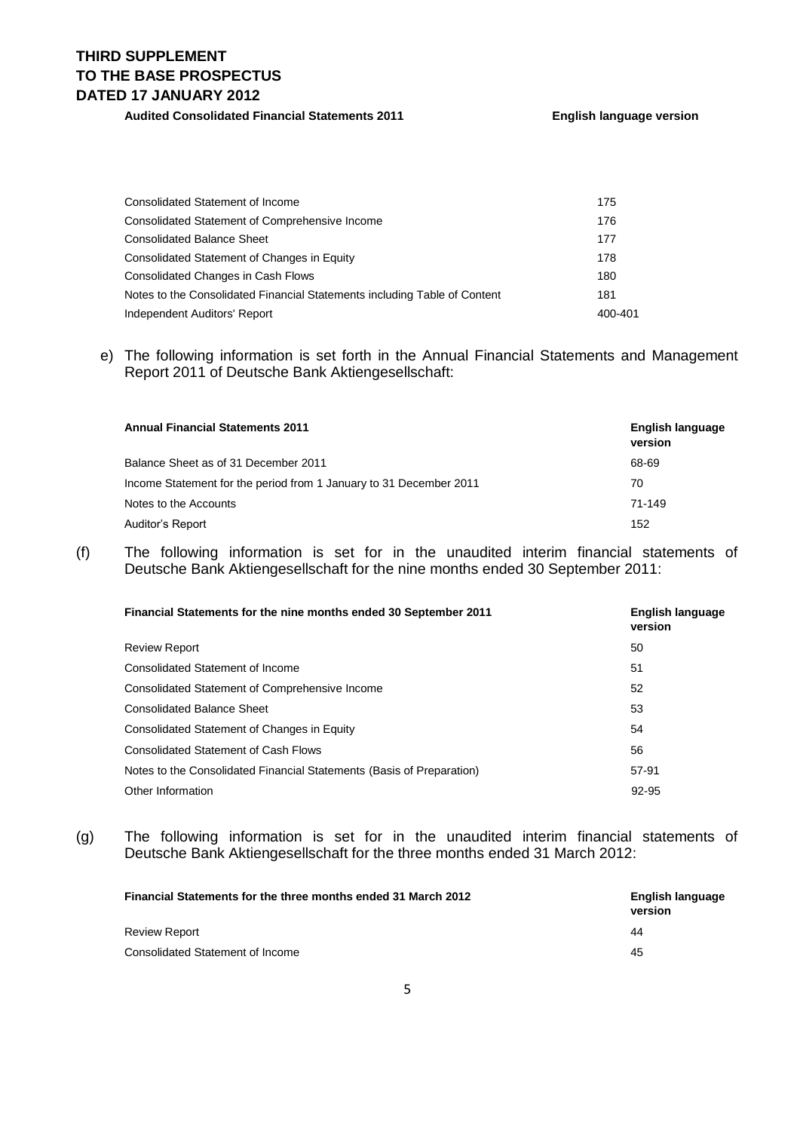# **THIRD SUPPLEMENT TO THE BASE PROSPECTUS DATED 17 JANUARY 2012**

### **Audited Consolidated Financial Statements 2011 English language version**

| Consolidated Statement of Income                                          | 175     |
|---------------------------------------------------------------------------|---------|
| Consolidated Statement of Comprehensive Income                            | 176     |
| <b>Consolidated Balance Sheet</b>                                         | 177     |
| Consolidated Statement of Changes in Equity                               | 178     |
| <b>Consolidated Changes in Cash Flows</b>                                 | 180     |
| Notes to the Consolidated Financial Statements including Table of Content | 181     |
| Independent Auditors' Report                                              | 400-401 |

### e) The following information is set forth in the Annual Financial Statements and Management Report 2011 of Deutsche Bank Aktiengesellschaft:

| <b>Annual Financial Statements 2011</b>                            | English language<br>version |
|--------------------------------------------------------------------|-----------------------------|
| Balance Sheet as of 31 December 2011                               | 68-69                       |
| Income Statement for the period from 1 January to 31 December 2011 | 70                          |
| Notes to the Accounts                                              | 71-149                      |
| Auditor's Report                                                   | 152                         |

(f) The following information is set for in the unaudited interim financial statements of Deutsche Bank Aktiengesellschaft for the nine months ended 30 September 2011:

| <b>Financial Statements for the nine months ended 30 September 2011</b> | English language<br>version |
|-------------------------------------------------------------------------|-----------------------------|
| <b>Review Report</b>                                                    | 50                          |
| Consolidated Statement of Income                                        | 51                          |
| <b>Consolidated Statement of Comprehensive Income</b>                   | 52                          |
| <b>Consolidated Balance Sheet</b>                                       | 53                          |
| Consolidated Statement of Changes in Equity                             | 54                          |
| <b>Consolidated Statement of Cash Flows</b>                             | 56                          |
| Notes to the Consolidated Financial Statements (Basis of Preparation)   | 57-91                       |
| Other Information                                                       | 92-95                       |

(g) The following information is set for in the unaudited interim financial statements of Deutsche Bank Aktiengesellschaft for the three months ended 31 March 2012:

| <b>Financial Statements for the three months ended 31 March 2012</b> | English language<br>version |
|----------------------------------------------------------------------|-----------------------------|
| Review Report                                                        | 44                          |
| Consolidated Statement of Income                                     | 45                          |